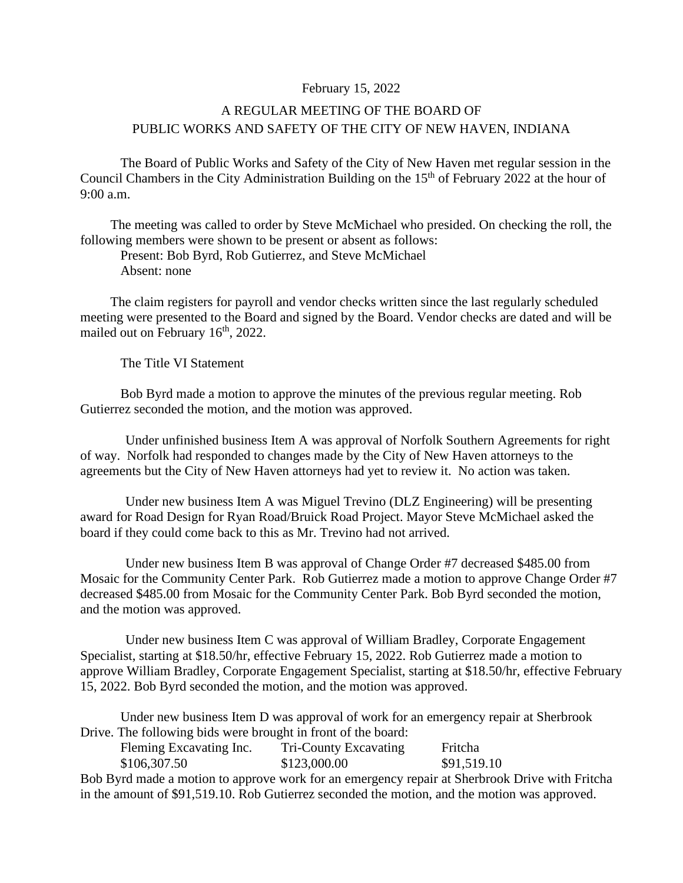## February 15, 2022

## A REGULAR MEETING OF THE BOARD OF PUBLIC WORKS AND SAFETY OF THE CITY OF NEW HAVEN, INDIANA

The Board of Public Works and Safety of the City of New Haven met regular session in the Council Chambers in the City Administration Building on the 15<sup>th</sup> of February 2022 at the hour of  $9:00$  a.m.

The meeting was called to order by Steve McMichael who presided. On checking the roll, the following members were shown to be present or absent as follows:

Present: Bob Byrd, Rob Gutierrez, and Steve McMichael Absent: none

The claim registers for payroll and vendor checks written since the last regularly scheduled meeting were presented to the Board and signed by the Board. Vendor checks are dated and will be mailed out on February 16<sup>th</sup>, 2022.

The Title VI Statement

Bob Byrd made a motion to approve the minutes of the previous regular meeting. Rob Gutierrez seconded the motion, and the motion was approved.

Under unfinished business Item A was approval of Norfolk Southern Agreements for right of way. Norfolk had responded to changes made by the City of New Haven attorneys to the agreements but the City of New Haven attorneys had yet to review it. No action was taken.

Under new business Item A was Miguel Trevino (DLZ Engineering) will be presenting award for Road Design for Ryan Road/Bruick Road Project. Mayor Steve McMichael asked the board if they could come back to this as Mr. Trevino had not arrived.

Under new business Item B was approval of Change Order #7 decreased \$485.00 from Mosaic for the Community Center Park. Rob Gutierrez made a motion to approve Change Order #7 decreased \$485.00 from Mosaic for the Community Center Park. Bob Byrd seconded the motion, and the motion was approved.

Under new business Item C was approval of William Bradley, Corporate Engagement Specialist, starting at \$18.50/hr, effective February 15, 2022. Rob Gutierrez made a motion to approve William Bradley, Corporate Engagement Specialist, starting at \$18.50/hr, effective February 15, 2022. Bob Byrd seconded the motion, and the motion was approved.

Under new business Item D was approval of work for an emergency repair at Sherbrook Drive. The following bids were brought in front of the board:

| Fleming Excavating Inc. | Tri-County Excavating | Fritcha     |
|-------------------------|-----------------------|-------------|
| \$106,307.50            | \$123,000.00          | \$91,519.10 |

Bob Byrd made a motion to approve work for an emergency repair at Sherbrook Drive with Fritcha in the amount of \$91,519.10. Rob Gutierrez seconded the motion, and the motion was approved.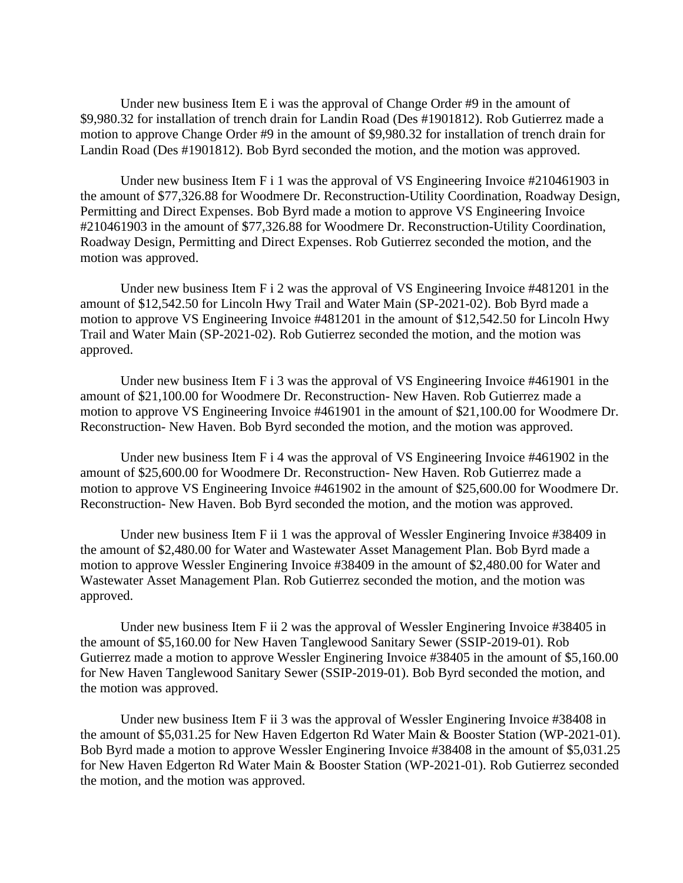Under new business Item E i was the approval of Change Order #9 in the amount of \$9,980.32 for installation of trench drain for Landin Road (Des #1901812). Rob Gutierrez made a motion to approve Change Order #9 in the amount of \$9,980.32 for installation of trench drain for Landin Road (Des #1901812). Bob Byrd seconded the motion, and the motion was approved.

Under new business Item F i 1 was the approval of VS Engineering Invoice #210461903 in the amount of \$77,326.88 for Woodmere Dr. Reconstruction-Utility Coordination, Roadway Design, Permitting and Direct Expenses. Bob Byrd made a motion to approve VS Engineering Invoice #210461903 in the amount of \$77,326.88 for Woodmere Dr. Reconstruction-Utility Coordination, Roadway Design, Permitting and Direct Expenses. Rob Gutierrez seconded the motion, and the motion was approved.

Under new business Item F i 2 was the approval of VS Engineering Invoice #481201 in the amount of \$12,542.50 for Lincoln Hwy Trail and Water Main (SP-2021-02). Bob Byrd made a motion to approve VS Engineering Invoice #481201 in the amount of \$12,542.50 for Lincoln Hwy Trail and Water Main (SP-2021-02). Rob Gutierrez seconded the motion, and the motion was approved.

Under new business Item F i 3 was the approval of VS Engineering Invoice #461901 in the amount of \$21,100.00 for Woodmere Dr. Reconstruction- New Haven. Rob Gutierrez made a motion to approve VS Engineering Invoice #461901 in the amount of \$21,100.00 for Woodmere Dr. Reconstruction- New Haven. Bob Byrd seconded the motion, and the motion was approved.

Under new business Item F i 4 was the approval of VS Engineering Invoice #461902 in the amount of \$25,600.00 for Woodmere Dr. Reconstruction- New Haven. Rob Gutierrez made a motion to approve VS Engineering Invoice #461902 in the amount of \$25,600.00 for Woodmere Dr. Reconstruction- New Haven. Bob Byrd seconded the motion, and the motion was approved.

Under new business Item F ii 1 was the approval of Wessler Enginering Invoice #38409 in the amount of \$2,480.00 for Water and Wastewater Asset Management Plan. Bob Byrd made a motion to approve Wessler Enginering Invoice #38409 in the amount of \$2,480.00 for Water and Wastewater Asset Management Plan. Rob Gutierrez seconded the motion, and the motion was approved.

Under new business Item F ii 2 was the approval of Wessler Enginering Invoice #38405 in the amount of \$5,160.00 for New Haven Tanglewood Sanitary Sewer (SSIP-2019-01). Rob Gutierrez made a motion to approve Wessler Enginering Invoice #38405 in the amount of \$5,160.00 for New Haven Tanglewood Sanitary Sewer (SSIP-2019-01). Bob Byrd seconded the motion, and the motion was approved.

Under new business Item F ii 3 was the approval of Wessler Enginering Invoice #38408 in the amount of \$5,031.25 for New Haven Edgerton Rd Water Main & Booster Station (WP-2021-01). Bob Byrd made a motion to approve Wessler Enginering Invoice #38408 in the amount of \$5,031.25 for New Haven Edgerton Rd Water Main & Booster Station (WP-2021-01). Rob Gutierrez seconded the motion, and the motion was approved.